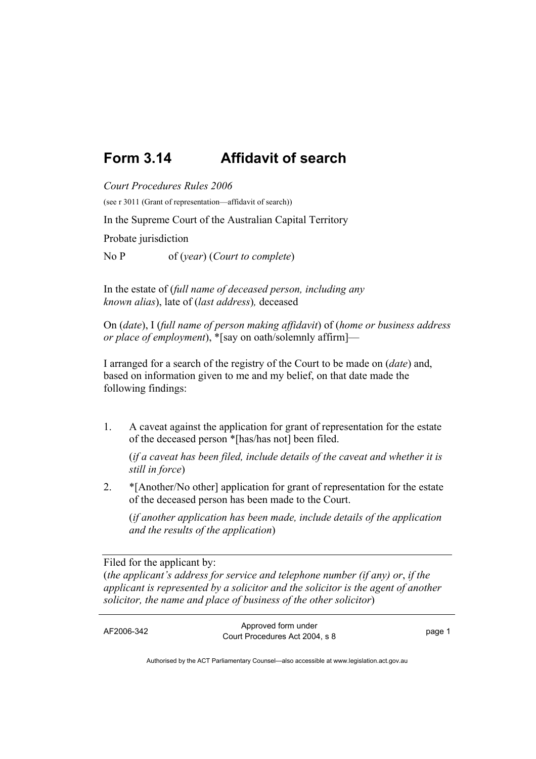## **Form 3.14 Affidavit of search**

*Court Procedures Rules 2006*  (see r 3011 (Grant of representation—affidavit of search)) In the Supreme Court of the Australian Capital Territory Probate jurisdiction No P of (*year*) (*Court to complete*)

In the estate of (*full name of deceased person, including any known alias*), late of (*last address*)*,* deceased

On (*date*), I (*full name of person making affidavit*) of (*home or business address or place of employment*), \*[say on oath/solemnly affirm]—

I arranged for a search of the registry of the Court to be made on (*date*) and, based on information given to me and my belief, on that date made the following findings:

1. A caveat against the application for grant of representation for the estate of the deceased person \*[has/has not] been filed.

 (*if a caveat has been filed, include details of the caveat and whether it is still in force*)

2. \*[Another/No other] application for grant of representation for the estate of the deceased person has been made to the Court.

 (*if another application has been made, include details of the application and the results of the application*)

Filed for the applicant by:

(*the applicant's address for service and telephone number (if any) or*, *if the applicant is represented by a solicitor and the solicitor is the agent of another solicitor, the name and place of business of the other solicitor*)

AF2006-342 Approved form under Procedures Act 2004, s 8 page 1

Authorised by the ACT Parliamentary Counsel—also accessible at www.legislation.act.gov.au